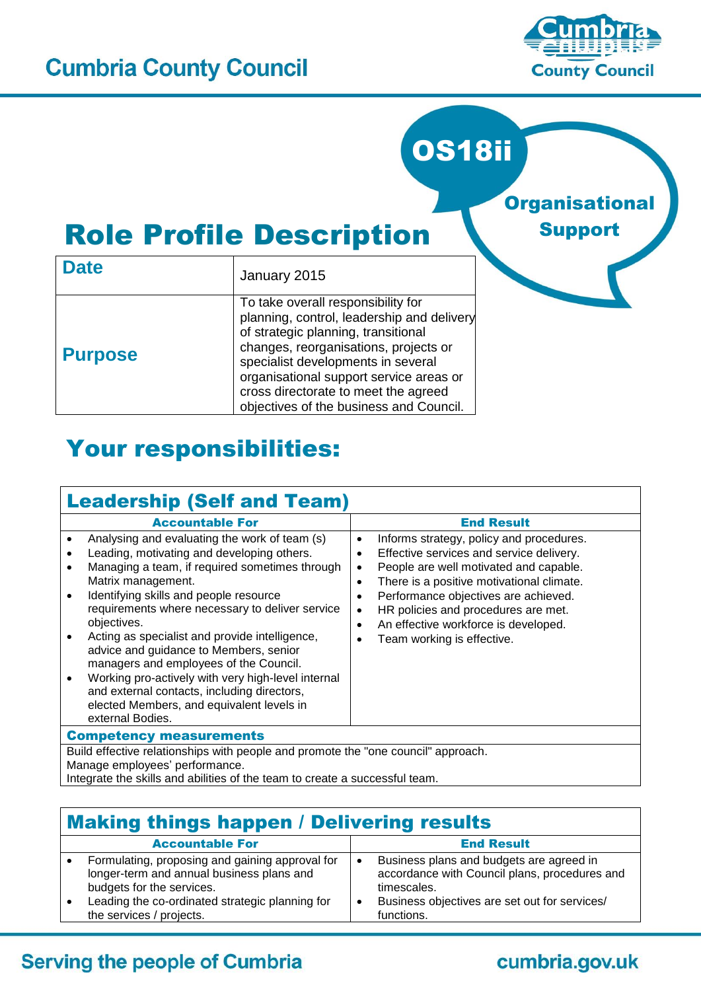

**Organisational** 

Support

# OS18ii

# Role Profile Description

| <b>Date</b>    | January 2015                                                                                                                                                                                                                                                                                                                         |
|----------------|--------------------------------------------------------------------------------------------------------------------------------------------------------------------------------------------------------------------------------------------------------------------------------------------------------------------------------------|
| <b>Purpose</b> | To take overall responsibility for<br>planning, control, leadership and delivery<br>of strategic planning, transitional<br>changes, reorganisations, projects or<br>specialist developments in several<br>organisational support service areas or<br>cross directorate to meet the agreed<br>objectives of the business and Council. |

# Your responsibilities:

| <b>Leadership (Self and Team)</b>                                                                                                                                                                                                                                                                                                                                                                                                                                                                                                                                                           |                                                                                                                                                                                                                                                                                                                                                                                           |
|---------------------------------------------------------------------------------------------------------------------------------------------------------------------------------------------------------------------------------------------------------------------------------------------------------------------------------------------------------------------------------------------------------------------------------------------------------------------------------------------------------------------------------------------------------------------------------------------|-------------------------------------------------------------------------------------------------------------------------------------------------------------------------------------------------------------------------------------------------------------------------------------------------------------------------------------------------------------------------------------------|
| <b>Accountable For</b>                                                                                                                                                                                                                                                                                                                                                                                                                                                                                                                                                                      | <b>End Result</b>                                                                                                                                                                                                                                                                                                                                                                         |
| Analysing and evaluating the work of team (s)<br>Leading, motivating and developing others.<br>Managing a team, if required sometimes through<br>Matrix management.<br>Identifying skills and people resource<br>requirements where necessary to deliver service<br>objectives.<br>Acting as specialist and provide intelligence,<br>advice and guidance to Members, senior<br>managers and employees of the Council.<br>Working pro-actively with very high-level internal<br>and external contacts, including directors,<br>elected Members, and equivalent levels in<br>external Bodies. | Informs strategy, policy and procedures.<br>$\bullet$<br>Effective services and service delivery.<br>People are well motivated and capable.<br>٠<br>There is a positive motivational climate.<br>$\bullet$<br>Performance objectives are achieved.<br>HR policies and procedures are met.<br>$\bullet$<br>An effective workforce is developed.<br>$\bullet$<br>Team working is effective. |
| <b>Competency measurements</b>                                                                                                                                                                                                                                                                                                                                                                                                                                                                                                                                                              |                                                                                                                                                                                                                                                                                                                                                                                           |
| Build effective relationships with people and promote the "one council" approach.<br>Manage employees' performance.                                                                                                                                                                                                                                                                                                                                                                                                                                                                         |                                                                                                                                                                                                                                                                                                                                                                                           |
| Integrate the skills and abilities of the team to create a successful team.                                                                                                                                                                                                                                                                                                                                                                                                                                                                                                                 |                                                                                                                                                                                                                                                                                                                                                                                           |

| <b>Making things happen / Delivering results</b>                                                                          |                                                                                                          |
|---------------------------------------------------------------------------------------------------------------------------|----------------------------------------------------------------------------------------------------------|
| <b>Accountable For</b>                                                                                                    | <b>End Result</b>                                                                                        |
| Formulating, proposing and gaining approval for<br>longer-term and annual business plans and<br>budgets for the services. | Business plans and budgets are agreed in<br>accordance with Council plans, procedures and<br>timescales. |
| Leading the co-ordinated strategic planning for<br>the services / projects.                                               | Business objectives are set out for services/<br>functions.                                              |

# **Serving the people of Cumbria**

# cumbria.gov.uk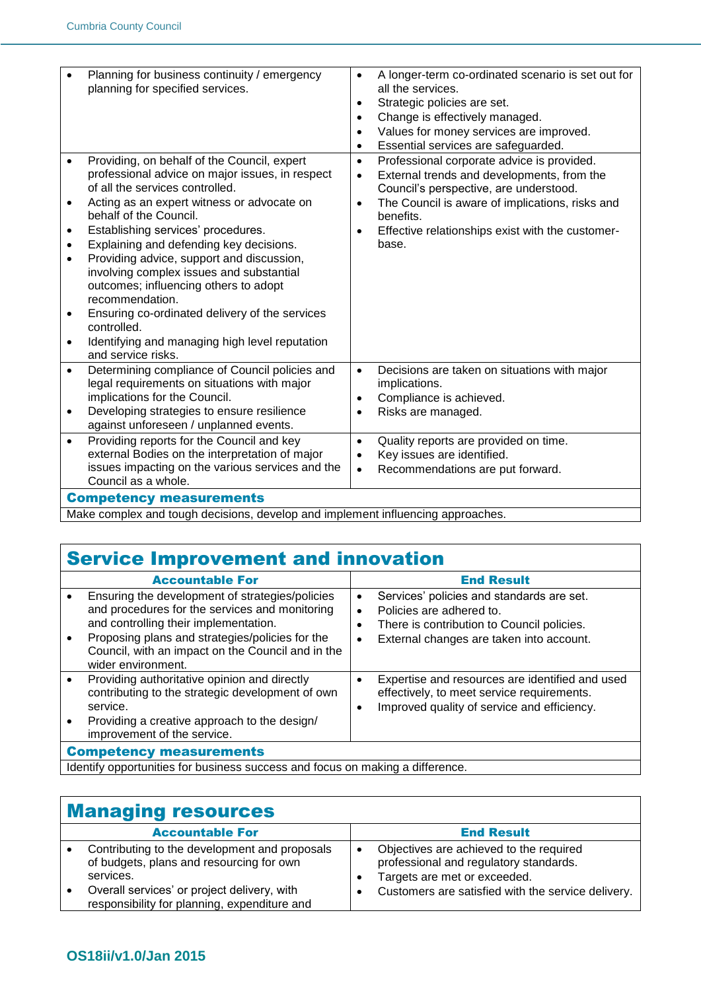|           | Planning for business continuity / emergency                                                       | $\bullet$ | A longer-term co-ordinated scenario is set out for           |
|-----------|----------------------------------------------------------------------------------------------------|-----------|--------------------------------------------------------------|
|           | planning for specified services.                                                                   |           | all the services.                                            |
|           |                                                                                                    | $\bullet$ | Strategic policies are set.                                  |
|           |                                                                                                    | $\bullet$ | Change is effectively managed.                               |
|           |                                                                                                    | $\bullet$ | Values for money services are improved.                      |
|           |                                                                                                    | $\bullet$ | Essential services are safeguarded.                          |
| $\bullet$ | Providing, on behalf of the Council, expert                                                        | $\bullet$ | Professional corporate advice is provided.                   |
|           | professional advice on major issues, in respect                                                    | $\bullet$ | External trends and developments, from the                   |
|           | of all the services controlled.                                                                    |           | Council's perspective, are understood.                       |
| $\bullet$ | Acting as an expert witness or advocate on<br>behalf of the Council.                               | $\bullet$ | The Council is aware of implications, risks and<br>benefits. |
| $\bullet$ | Establishing services' procedures.                                                                 | $\bullet$ | Effective relationships exist with the customer-             |
| $\bullet$ | Explaining and defending key decisions.                                                            |           | base.                                                        |
| $\bullet$ | Providing advice, support and discussion,                                                          |           |                                                              |
|           | involving complex issues and substantial                                                           |           |                                                              |
|           | outcomes; influencing others to adopt                                                              |           |                                                              |
|           | recommendation.                                                                                    |           |                                                              |
|           | Ensuring co-ordinated delivery of the services                                                     |           |                                                              |
|           | controlled.                                                                                        |           |                                                              |
| $\bullet$ | Identifying and managing high level reputation                                                     |           |                                                              |
|           | and service risks.                                                                                 |           |                                                              |
| $\bullet$ | Determining compliance of Council policies and                                                     | $\bullet$ | Decisions are taken on situations with major                 |
|           | legal requirements on situations with major                                                        |           | implications.                                                |
|           | implications for the Council.                                                                      | $\bullet$ | Compliance is achieved.                                      |
| $\bullet$ | Developing strategies to ensure resilience                                                         | $\bullet$ | Risks are managed.                                           |
|           | against unforeseen / unplanned events.                                                             |           |                                                              |
| $\bullet$ | Providing reports for the Council and key                                                          | $\bullet$ | Quality reports are provided on time.                        |
|           | external Bodies on the interpretation of major<br>issues impacting on the various services and the | $\bullet$ | Key issues are identified.                                   |
|           | Council as a whole.                                                                                | $\bullet$ | Recommendations are put forward.                             |
|           | <b>Competency measurements</b>                                                                     |           |                                                              |
|           |                                                                                                    |           |                                                              |

Make complex and tough decisions, develop and implement influencing approaches.

### Service Improvement and innovation

| <b>Accountable For</b>                                                                                                                                                                                                                                                   |                             | <b>End Result</b>                                                                                                                                               |
|--------------------------------------------------------------------------------------------------------------------------------------------------------------------------------------------------------------------------------------------------------------------------|-----------------------------|-----------------------------------------------------------------------------------------------------------------------------------------------------------------|
| Ensuring the development of strategies/policies<br>and procedures for the services and monitoring<br>and controlling their implementation.<br>Proposing plans and strategies/policies for the<br>Council, with an impact on the Council and in the<br>wider environment. | $\bullet$<br>$\bullet$<br>٠ | Services' policies and standards are set.<br>Policies are adhered to.<br>There is contribution to Council policies.<br>External changes are taken into account. |
| Providing authoritative opinion and directly<br>contributing to the strategic development of own<br>service.<br>Providing a creative approach to the design/<br>improvement of the service.                                                                              | $\bullet$<br>$\bullet$      | Expertise and resources are identified and used<br>effectively, to meet service requirements.<br>Improved quality of service and efficiency.                    |
| <b>Competency measurements</b>                                                                                                                                                                                                                                           |                             |                                                                                                                                                                 |
| Identify opportunities for business success and focus on making a difference.                                                                                                                                                                                            |                             |                                                                                                                                                                 |

#### Managing resources Accountable For **End Result**  Contributing to the development and proposals of budgets, plans and resourcing for own services. Overall services' or project delivery, with responsibility for planning, expenditure and Objectives are achieved to the required professional and regulatory standards. Targets are met or exceeded. Customers are satisfied with the service delivery.

#### **OS18ii/v1.0/Jan 2015**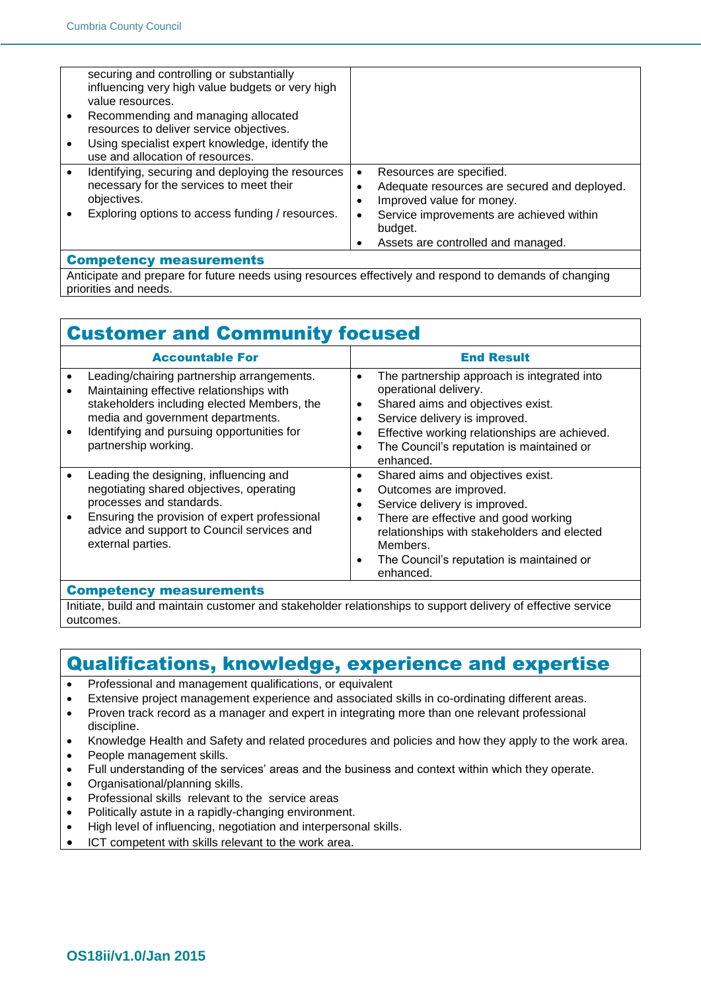| securing and controlling or substantially         |                                                 |
|---------------------------------------------------|-------------------------------------------------|
| influencing very high value budgets or very high  |                                                 |
| value resources.                                  |                                                 |
|                                                   |                                                 |
| Recommending and managing allocated               |                                                 |
| resources to deliver service objectives.          |                                                 |
| Using specialist expert knowledge, identify the   |                                                 |
|                                                   |                                                 |
| use and allocation of resources.                  |                                                 |
| Identifying, securing and deploying the resources | Resources are specified.<br>$\bullet$           |
| necessary for the services to meet their          | Adequate resources are secured and deployed.    |
| objectives.                                       |                                                 |
|                                                   | Improved value for money.                       |
| Exploring options to access funding / resources.  | Service improvements are achieved within<br>٠   |
|                                                   | budget.                                         |
|                                                   |                                                 |
|                                                   | Assets are controlled and managed.<br>$\bullet$ |
| <b>Competency measurements</b>                    |                                                 |

Anticipate and prepare for future needs using resources effectively and respond to demands of changing priorities and needs.

# Customer and Community focused

| The partnership approach is integrated into<br>$\bullet$<br>operational delivery.<br>Shared aims and objectives exist.<br>٠<br>Service delivery is improved.<br>٠                                                                                                                                  |
|----------------------------------------------------------------------------------------------------------------------------------------------------------------------------------------------------------------------------------------------------------------------------------------------------|
| Effective working relationships are achieved.<br>٠<br>The Council's reputation is maintained or<br>$\bullet$<br>enhanced.                                                                                                                                                                          |
| Shared aims and objectives exist.<br>٠<br>Outcomes are improved.<br>٠<br>Service delivery is improved.<br>٠<br>There are effective and good working<br>$\bullet$<br>relationships with stakeholders and elected<br>Members.<br>The Council's reputation is maintained or<br>$\bullet$<br>enhanced. |
|                                                                                                                                                                                                                                                                                                    |

#### Competency measurements

Initiate, build and maintain customer and stakeholder relationships to support delivery of effective service outcomes.

### Qualifications, knowledge, experience and expertise

- Professional and management qualifications, or equivalent
- Extensive project management experience and associated skills in co-ordinating different areas.
- Proven track record as a manager and expert in integrating more than one relevant professional discipline.
- Knowledge Health and Safety and related procedures and policies and how they apply to the work area.
- People management skills.
- Full understanding of the services' areas and the business and context within which they operate.
- Organisational/planning skills.
- Professional skills relevant to the service areas
- Politically astute in a rapidly-changing environment.
- High level of influencing, negotiation and interpersonal skills.
- ICT competent with skills relevant to the work area.